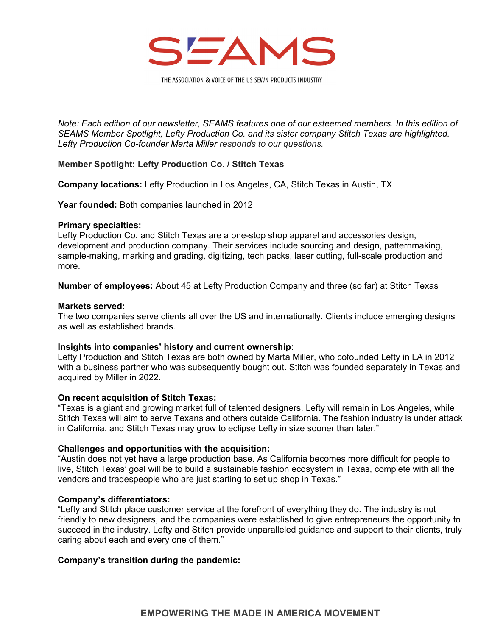

THE ASSOCIATION & VOICE OF THE US SEWN PRODUCTS INDUSTRY

*Note: Each edition of our newsletter, SEAMS features one of our esteemed members. In this edition of SEAMS Member Spotlight, Lefty Production Co. and its sister company Stitch Texas are highlighted. Lefty Production Co-founder Marta Miller responds to our questions.* 

# **Member Spotlight: Lefty Production Co. / Stitch Texas**

**Company locations:** Lefty Production in Los Angeles, CA, Stitch Texas in Austin, TX

**Year founded:** Both companies launched in 2012

#### **Primary specialties:**

Lefty Production Co. and Stitch Texas are a one-stop shop apparel and accessories design, development and production company. Their services include sourcing and design, patternmaking, sample-making, marking and grading, digitizing, tech packs, laser cutting, full-scale production and more.

**Number of employees:** About 45 at Lefty Production Company and three (so far) at Stitch Texas

#### **Markets served:**

The two companies serve clients all over the US and internationally. Clients include emerging designs as well as established brands.

#### **Insights into companies' history and current ownership:**

Lefty Production and Stitch Texas are both owned by Marta Miller, who cofounded Lefty in LA in 2012 with a business partner who was subsequently bought out. Stitch was founded separately in Texas and acquired by Miller in 2022.

#### **On recent acquisition of Stitch Texas:**

"Texas is a giant and growing market full of talented designers. Lefty will remain in Los Angeles, while Stitch Texas will aim to serve Texans and others outside California. The fashion industry is under attack in California, and Stitch Texas may grow to eclipse Lefty in size sooner than later."

#### **Challenges and opportunities with the acquisition:**

"Austin does not yet have a large production base. As California becomes more difficult for people to live, Stitch Texas' goal will be to build a sustainable fashion ecosystem in Texas, complete with all the vendors and tradespeople who are just starting to set up shop in Texas."

#### **Company's differentiators:**

"Lefty and Stitch place customer service at the forefront of everything they do. The industry is not friendly to new designers, and the companies were established to give entrepreneurs the opportunity to succeed in the industry. Lefty and Stitch provide unparalleled guidance and support to their clients, truly caring about each and every one of them."

#### **Company's transition during the pandemic:**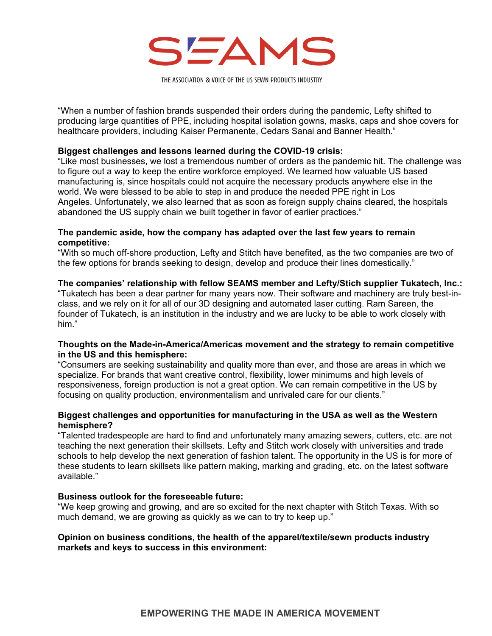

THE ASSOCIATION & VOICE OF THE US SEWN PRODUCTS INDUSTRY

"When a number of fashion brands suspended their orders during the pandemic, Lefty shifted to producing large quantities of PPE, including hospital isolation gowns, masks, caps and shoe covers for healthcare providers, including Kaiser Permanente, Cedars Sanai and Banner Health."

# **Biggest challenges and lessons learned during the COVID-19 crisis:**

"Like most businesses, we lost a tremendous number of orders as the pandemic hit. The challenge was to figure out a way to keep the entire workforce employed. We learned how valuable US based manufacturing is, since hospitals could not acquire the necessary products anywhere else in the world. We were blessed to be able to step in and produce the needed PPE right in Los Angeles. Unfortunately, we also learned that as soon as foreign supply chains cleared, the hospitals abandoned the US supply chain we built together in favor of earlier practices."

# **The pandemic aside, how the company has adapted over the last few years to remain competitive:**

"With so much off-shore production, Lefty and Stitch have benefited, as the two companies are two of the few options for brands seeking to design, develop and produce their lines domestically."

# **The companies' relationship with fellow SEAMS member and Lefty/Stich supplier Tukatech, Inc.:**

"Tukatech has been a dear partner for many years now. Their software and machinery are truly best-inclass, and we rely on it for all of our 3D designing and automated laser cutting. Ram Sareen, the founder of Tukatech, is an institution in the industry and we are lucky to be able to work closely with him."

# **Thoughts on the Made-in-America/Americas movement and the strategy to remain competitive in the US and this hemisphere:**

"Consumers are seeking sustainability and quality more than ever, and those are areas in which we specialize. For brands that want creative control, flexibility, lower minimums and high levels of responsiveness, foreign production is not a great option. We can remain competitive in the US by focusing on quality production, environmentalism and unrivaled care for our clients."

# **Biggest challenges and opportunities for manufacturing in the USA as well as the Western hemisphere?**

"Talented tradespeople are hard to find and unfortunately many amazing sewers, cutters, etc. are not teaching the next generation their skillsets. Lefty and Stitch work closely with universities and trade schools to help develop the next generation of fashion talent. The opportunity in the US is for more of these students to learn skillsets like pattern making, marking and grading, etc. on the latest software available."

### **Business outlook for the foreseeable future:**

"We keep growing and growing, and are so excited for the next chapter with Stitch Texas. With so much demand, we are growing as quickly as we can to try to keep up."

# **Opinion on business conditions, the health of the apparel/textile/sewn products industry markets and keys to success in this environment:**